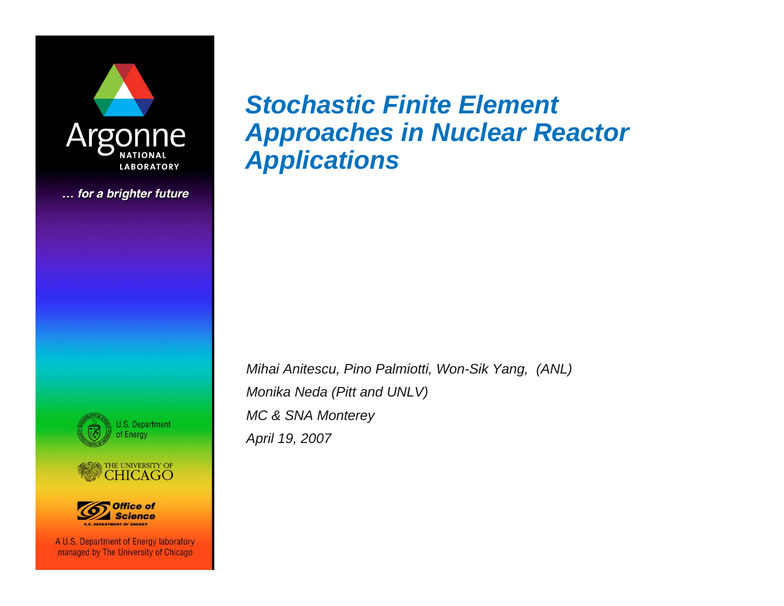

... for a brighter future



*Mihai Anitescu, Pino Palmiotti, Won-Sik Yang, (ANL) Monika Neda (Pitt and UNLV) MC & SNA Monterey April 19, 2007*







A U.S. Department of Energy laboratory managed by The University of Chicago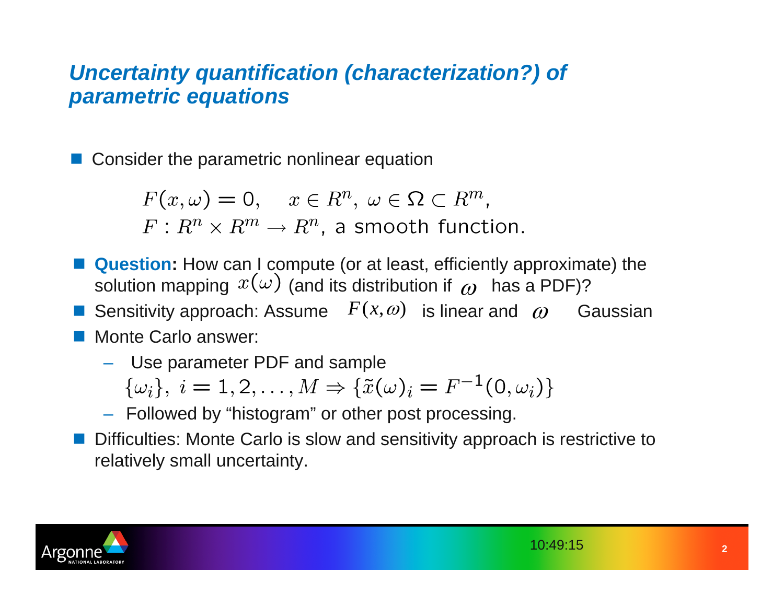#### *Uncertainty quantification (characterization?) of parametric equations*

F Consider the parametric nonlinear equation

$$
F(x,\omega) = 0, \quad x \in R^n, \ \omega \in \Omega \subset R^m,
$$
  

$$
F: R^n \times R^m \to R^n, \text{ a smooth function.}
$$

- $\overline{\mathbb{R}}$  **Question:** How can I compute (or at least, efficiently approximate) the solution mapping  $\,x(\omega)$  (and its distribution if  $\,\omega\,$  has a PDF)?
- $\mathbb{R}^2$ **F** Sensitivity approach: Assume  $F(x, \omega)$  is linear and  $\omega$  Gaussian ■ Monte Carlo answer:
	- Use parameter PDF and sample
		- $\{\omega_i\}, i = 1, 2, ..., M \Rightarrow \{\tilde{x}(\omega)_i = F^{-1}(0, \omega_i)\}\$
	- Followed by "histogram" or other post processing.
- $\mathbb{R}^2$  Difficulties: Monte Carlo is slow and sensitivity approach is restrictive to relatively small uncertainty.

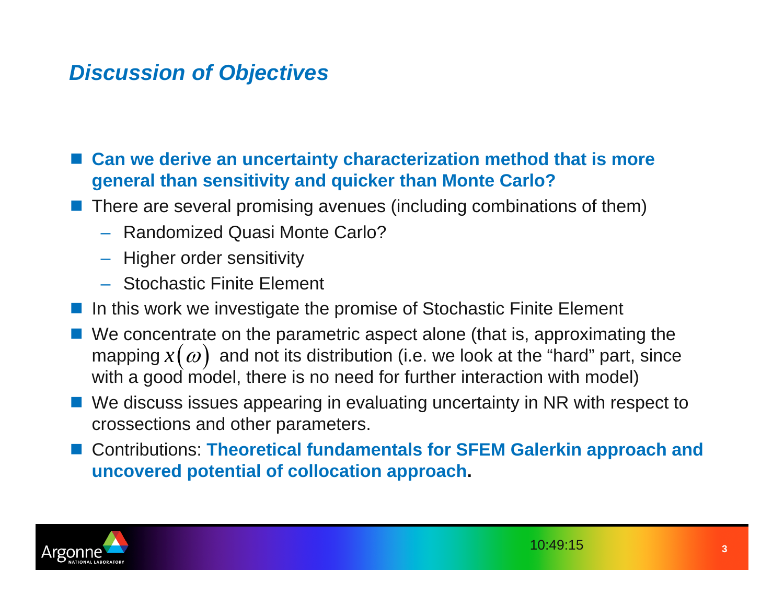## *Discussion of Objectives*

F **Can we derive an uncertainty characterization method that is more general than sensitivity and quicker than Monte Carlo?**

- $\Box$  There are several promising avenues (including combinations of them)
	- Randomized Quasi Monte Carlo?
	- Higher order sensitivity
	- Stochastic Finite Element
- F In this work we investigate the promise of Stochastic Finite Element
- We concentrate on the parametric aspect alone (that is, approximating the mapping  $x(\omega)$  and not its distribution (i.e. we look at the "hard" part, since with a good model, there is no need for further interaction with model)
- We discuss issues appearing in evaluating uncertainty in NR with respect to crossections and other parameters.
- F Contributions: **Theoretical fundamentals for SFEM Galerkin approach and uncovered potential of collocation approach.**

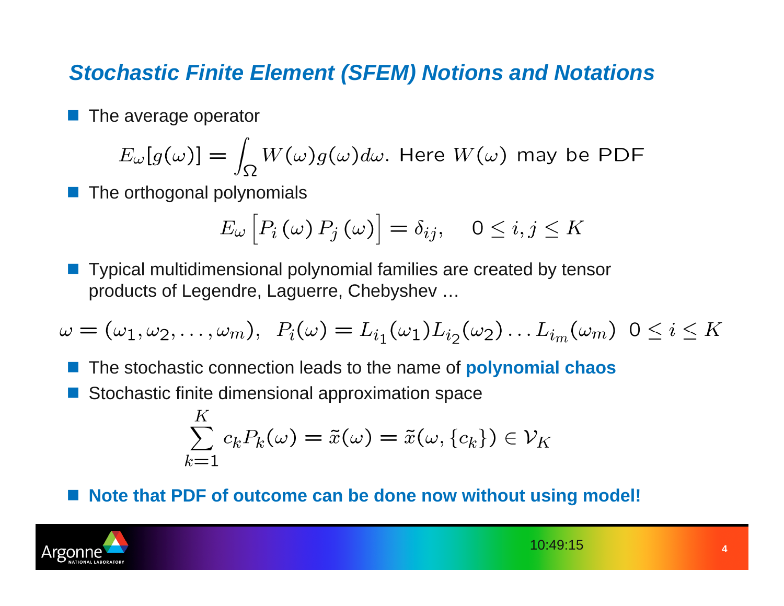## *Stochastic Finite Element (SFEM) Notions and Notations*

 $\overline{\mathbb{R}}$ The average operator

$$
E_{\omega}[g(\omega)] = \int_{\Omega} W(\omega)g(\omega)d\omega.
$$
 Here  $W(\omega)$  may be PDF

 $\overline{\mathbb{R}}$ The orthogonal polynomials

$$
E_{\omega}\left[P_i\left(\omega\right)P_j\left(\omega\right)\right]=\delta_{ij}, \quad 0\leq i,j\leq K
$$

 $\overline{\mathbb{R}}$  Typical multidimensional polynomial families are created by tensor products of Legendre, Laguerre, Chebyshev …

$$
\omega = (\omega_1, \omega_2, \dots, \omega_m), \ P_i(\omega) = L_{i_1}(\omega_1) L_{i_2}(\omega_2) \dots L_{i_m}(\omega_m) \ 0 \le i \le K
$$

 $\mathbb{R}^2$ The stochastic connection leads to the name of **polynomial chaos**

 $\mathbb{R}^2$ Stochastic finite dimensional approximation space

$$
\sum_{k=1}^{K} c_k P_k(\omega) = \tilde{x}(\omega) = \tilde{x}(\omega, \{c_k\}) \in \mathcal{V}_K
$$

 $\mathbb{R}^2$ **Note that PDF of outcome can be done now without using model!**

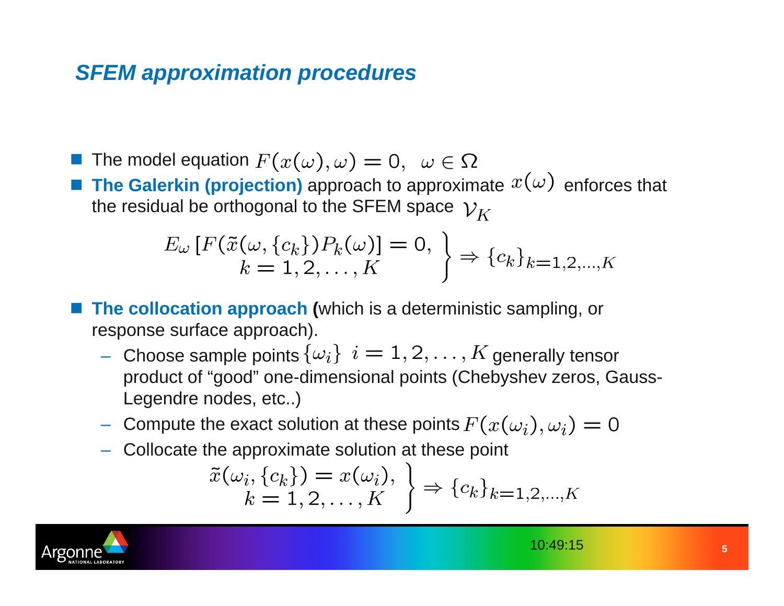## *SFEM approximation procedures*

**The model equation** 

 $\Box$ **The Galerkin (projection)** approach to approximate  $x(\omega)$  enforces that the residual be orthogonal to the SFEM space  $\mathcal{V}_K$ 

$$
E_{\omega}\left[F(\tilde{x}(\omega,\{c_k\})P_k(\omega)\right] = 0, \ \left\} \Rightarrow \{c_k\}_{k=1,2,\dots,K}
$$

**The collocation approach (which is a deterministic sampling, or** response surface approach).

- $-$  Choose sample points  $\{\omega_i\}$   $i=1,2,\ldots,K$  generally tensor product of "good" one-dimensional points (Chebyshev zeros, Gauss-Legendre nodes, etc..)
- Compute the exact solution at these points
- Collocate the approximate solution at these point

$$
\tilde{x}(\omega_i, \{c_k\}) = x(\omega_i), \quad \} \Rightarrow \{c_k\}_{k=1,2,\dots,K}
$$

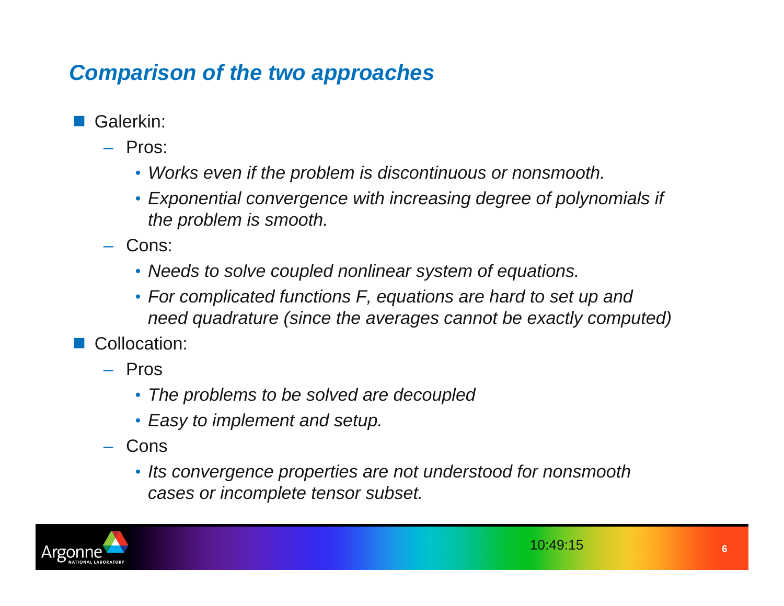# *Comparison of the two approaches*

- $\overline{\mathbb{R}}$  Galerkin:
	- Pros:
		- *Works even if the problem is discontinuous or nonsmooth.*
		- *Exponential convergence with increasing degree of polynomials if the problem is smooth.*
	- Cons:
		- *Needs to solve coupled nonlinear system of equations.*
		- *For complicated functions F, equations are hard to set up and need quadrature (since the averages cannot be exactly computed)*
- $\overline{\mathbb{R}}$  Collocation:
	- Pros
		- *The problems to be solved are decoupled*
		- *Easy to implement and setup.*
	- Cons
		- *Its convergence properties are not understood for nonsmooth cases or incomplete tensor subset.*

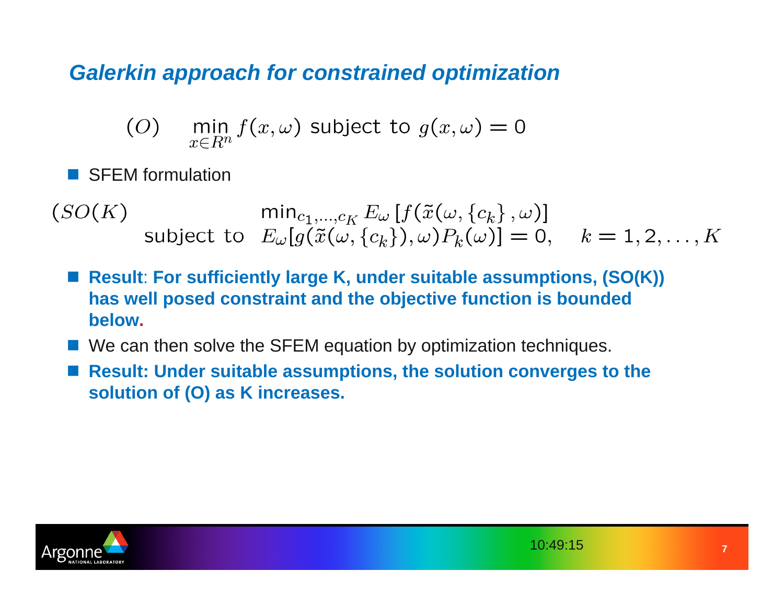## *Galerkin approach for constrained optimization*

$$
(O) \quad \min_{x \in R^n} f(x, \omega) \text{ subject to } g(x, \omega) = 0
$$

 $\overline{\mathbb{R}}$ SFEM formulation

$$
(SO(K) \qquad \min_{c_1,\dots,c_K} E_{\omega}[f(\tilde{x}(\omega,\{c_k\},\omega)]
$$
  
subject to  $E_{\omega}[g(\tilde{x}(\omega,\{c_k\}),\omega)P_k(\omega)]=0, \quad k=1,2,\dots,K$ 

- Result: For sufficiently large K, under suitable assumptions, (SO(K)) **has well posed constraint and the objective function is bounded below.**
- We can then solve the SFEM equation by optimization techniques.
- $\overline{\mathbb{R}}$  **Result: Under suitable assumptions, the solution converges to the solution of (O) as K increases.**

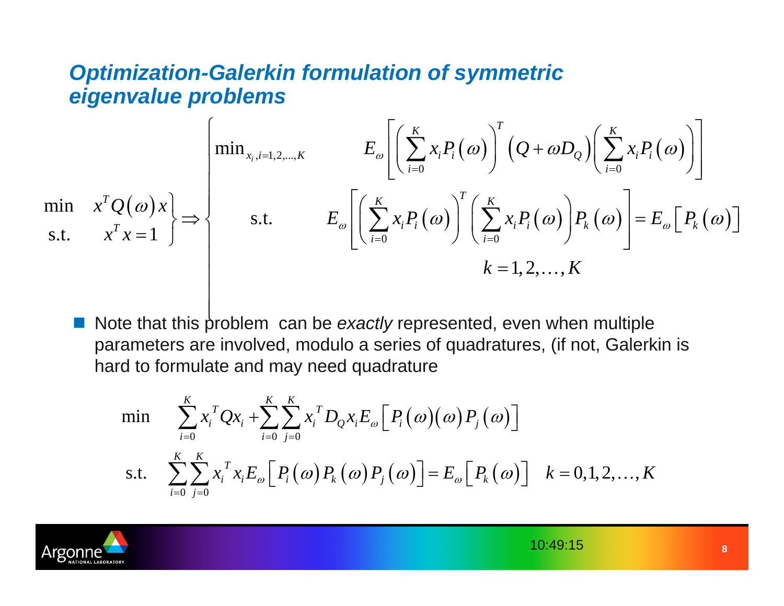### *Optimization-Galerkin formulation of symmetric eigenvalue problems*

$$
\min \left\{ x^T Q(\omega) x \right\} \Rightarrow \left\{ \text{min}_{x_i, i=1,2,\dots,K} E_{\omega} \left[ \left( \sum_{i=0}^K x_i P_i(\omega) \right)^T \left( Q + \omega D_Q \right) \left( \sum_{i=0}^K x_i P_i(\omega) \right) \right] \right\}
$$
\n
$$
\text{s.t.} \quad x^T x = 1 \quad \right\}
$$
\n
$$
\text{s.t.} \quad E_{\omega} \left[ \left( \sum_{i=0}^K x_i P_i(\omega) \right)^T \left( \sum_{i=0}^K x_i P_i(\omega) \right) P_k(\omega) \right] = E_{\omega} \left[ P_k(\omega) \right]
$$
\n
$$
k = 1, 2, \dots, K
$$

 $\overline{\mathbb{R}}$ ■ Note that this problem can be *exactly* represented, even when multiple parameters are involved, modulo a series of quadratures, (if not, Galerkin is hard to formulate and may need quadrature

$$
\begin{aligned}\n\min \quad & \sum_{i=0}^{K} x_i^T Q x_i + \sum_{i=0}^{K} \sum_{j=0}^{K} x_i^T D_Q x_i E_{\omega} \Big[ P_i(\omega) \big( \omega \big) P_j(\omega) \Big] \\
\text{s.t.} \quad & \sum_{i=0}^{K} \sum_{j=0}^{K} x_i^T x_i E_{\omega} \Big[ P_i(\omega) P_k(\omega) P_j(\omega) \Big] = E_{\omega} \Big[ P_k(\omega) \Big] \quad k = 0, 1, 2, \dots, K\n\end{aligned}
$$

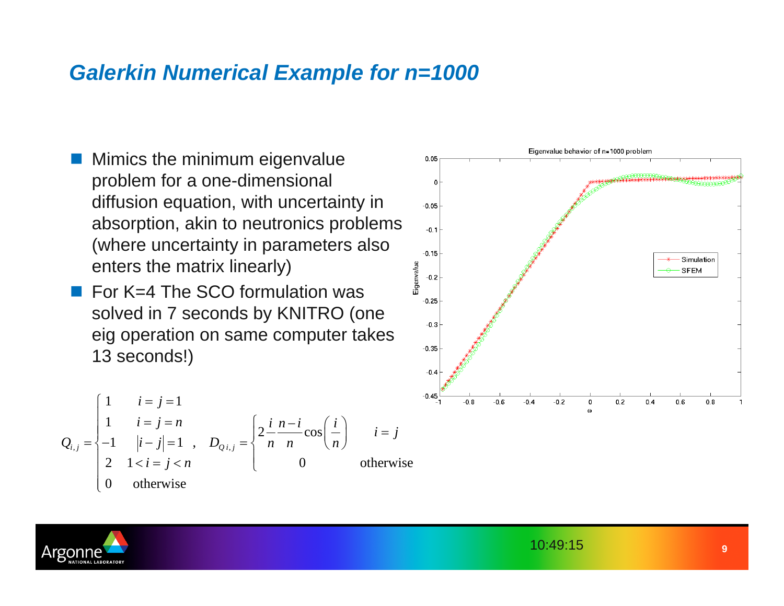### *Galerkin Numerical Example for n=1000*

- F Mimics the minimum eigenvalue problem for a one-dimensional diffusion equation, with uncertainty in absorption, akin to neutronics problems (where uncertainty in parameters also enters the matrix linearly)
- $\Box$  For K=4 The SCO formulation was solved in 7 seconds by KNITRO (one eig operation on same computer takes 13 seconds!)

$$
Q_{i,j} = \begin{cases} 1 & i = j = 1 \\ 1 & i = j = n \\ -1 & |i - j| = 1 \\ 2 & 1 < i = j < n \\ 0 & \text{otherwise} \end{cases} \quad\n\begin{aligned}\n& \sum_{i,j} \frac{i}{n} \frac{n - i}{n} \cos\left(\frac{i}{n}\right) & i = j \\ \sum_{i,j} \frac{i}{n} \frac{n - i}{n} \cos\left(\frac{i}{n}\right) & i = j \\
& \sum_{i,j} \frac{i}{n} \cos\left(\frac{i}{n}\right) & \sum_{i,j} \frac{i}{n} \sin\left(\frac{i}{n}\right) & \sum_{i,j} \frac{i}{n} \sin\left(\frac{i}{n}\right) & \sum_{i,j} \frac{i}{n} \sin\left(\frac{i}{n}\right) & \sum_{i,j} \frac{i}{n} \sin\left(\frac{i}{n}\right) & \sum_{i,j} \frac{i}{n} \sin\left(\frac{i}{n}\right) & \sum_{i,j} \frac{i}{n} \sin\left(\frac{i}{n}\right) & \sum_{i,j} \frac{i}{n} \sin\left(\frac{i}{n}\right) & \sum_{i,j} \frac{i}{n} \sin\left(\frac{i}{n}\right) & \sum_{i,j} \frac{i}{n} \sin\left(\frac{i}{n}\right) & \sum_{i,j} \frac{i}{n} \sin\left(\frac{i}{n}\right) & \sum_{i,j} \frac{i}{n} \sin\left(\frac{i}{n}\right) & \sum_{i,j} \frac{i}{n} \sin\left(\frac{i}{n}\right) & \sum_{i,j} \frac{i}{n} \sin\left(\frac{i}{n}\right) & \sum_{i,j} \frac{i}{n} \sin\left(\frac{i}{n}\right) & \sum_{i,j} \frac{i}{n} \sin\left(\frac{i}{n}\right) & \sum_{i,j} \frac{i}{n} \sin\left(\frac{i}{n}\right) & \sum_{i,j} \frac{i}{n} \sin\left(\frac{i}{n}\right) & \sum_{i,j} \frac{i}{n} \sin\left(\frac{i}{n}\right) & \sum_{i,j} \frac{i}{n} \sin\left(\frac{i}{n}\right) & \sum_{i,j} \frac{i}{n} \sin\left(\frac{i}{n}\right) & \sum_{i,j} \frac{i}{n} \sin\left(\frac{i}{
$$



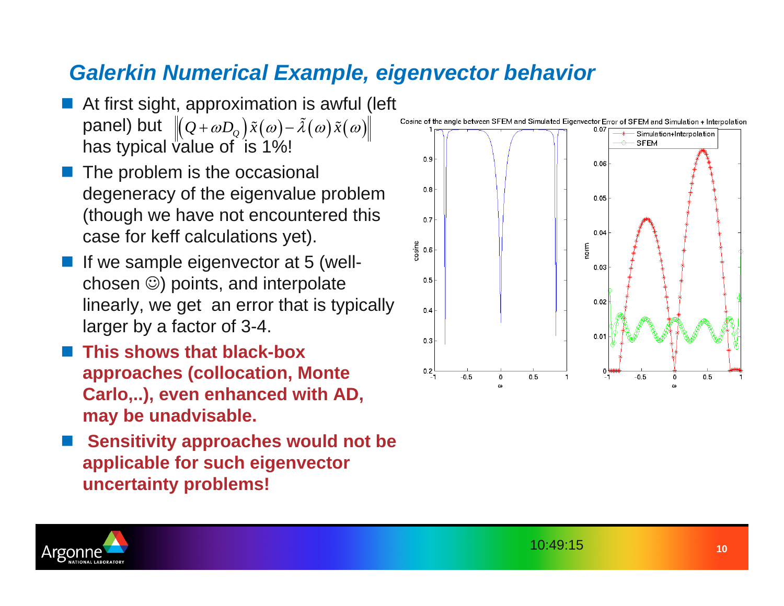## *Galerkin Numerical Example, eigenvector behavior*

- $\overline{\mathbb{R}}$  At first sight, approximation is awful (left panel) but  $\left\| \left( \mathcal{Q} + \omega D_{\varrho} \right) \tilde{x}(\omega) - \tilde{\lambda}(\omega) \tilde{x}(\omega) \right\|$ has typical value of is  $1\%$ !
- $\overline{\mathbb{R}}$  The problem is the occasional degeneracy of the eigenvalue problem (though we have not encountered this case for keff calculations yet).
- $\overline{\mathbb{R}}$  If we sample eigenvector at 5 (wellchosen ☺) points, and interpolate linearly, we get an error that is typically larger by a factor of 3-4.
- $\overline{\mathbb{R}}$  **This shows that black-box approaches (collocation, Monte Carlo,..), even enhanced with AD, may be unadvisable.**
- $\overline{\mathbb{R}}$  **Sensitivity approaches would not be applicable for such eigenvector uncertainty problems!**



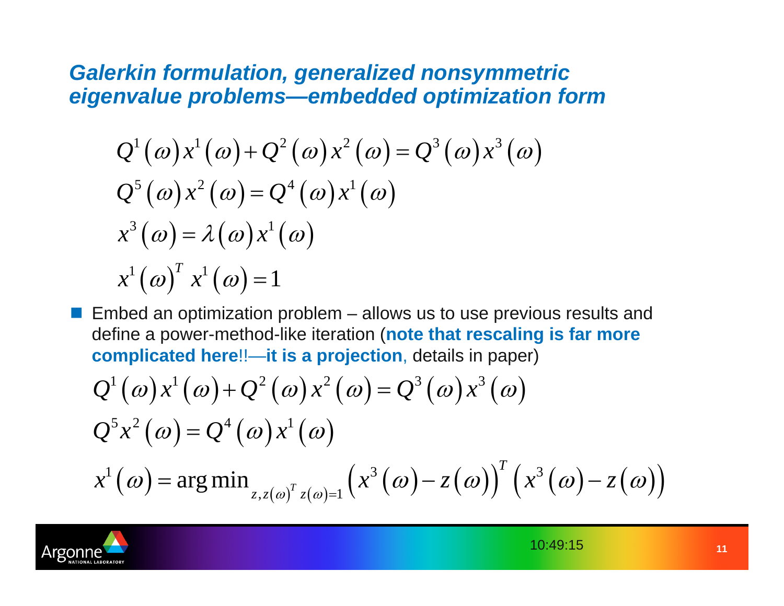#### *Galerkin formulation, generalized nonsymmetric eigenvalue problems—embedded optimization form*

$$
Q^{1}(\omega)x^{1}(\omega)+Q^{2}(\omega)x^{2}(\omega)=Q^{3}(\omega)x^{3}(\omega)
$$
  
\n
$$
Q^{5}(\omega)x^{2}(\omega)=Q^{4}(\omega)x^{1}(\omega)
$$
  
\n
$$
x^{3}(\omega)=\lambda(\omega)x^{1}(\omega)
$$
  
\n
$$
x^{1}(\omega)^{T}x^{1}(\omega)=1
$$

 $\Box$  Embed an optimization problem – allows us to use previous results and define a power-method-like iteration (**note that rescaling is far more complicated here**!!—**it is a projection**, details in paper)

$$
Q^{1}(\omega)x^{1}(\omega)+Q^{2}(\omega)x^{2}(\omega)=Q^{3}(\omega)x^{3}(\omega)
$$
  
\n
$$
Q^{5}x^{2}(\omega)=Q^{4}(\omega)x^{1}(\omega)
$$
  
\n
$$
x^{1}(\omega)=\arg\min_{z,z(\omega)^{T}z(\omega)=1}(x^{3}(\omega)-z(\omega))^{T}(x^{3}(\omega)-z(\omega))
$$

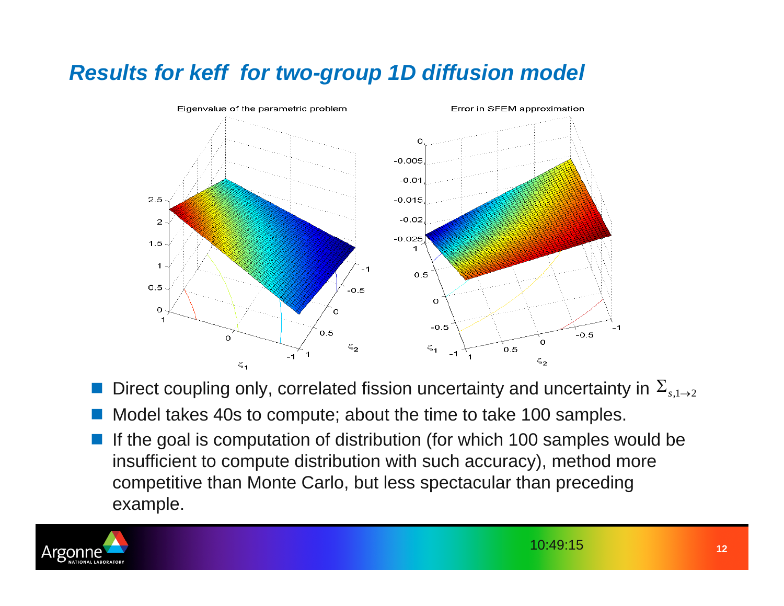# *Results for keff for two-group 1D diffusion model*



- $\overline{\mathbb{R}}$ **Direct coupling only, correlated fission uncertainty and uncertainty in**  $\Sigma_{s,1\rightarrow 2}$
- $\overline{\mathbb{R}}$ Model takes 40s to compute; about the time to take 100 samples.
- $\overline{\mathbb{R}}$  If the goal is computation of distribution (for which 100 samples would be insufficient to compute distribution with such accuracy), method more competitive than Monte Carlo, but less spectacular than preceding example.

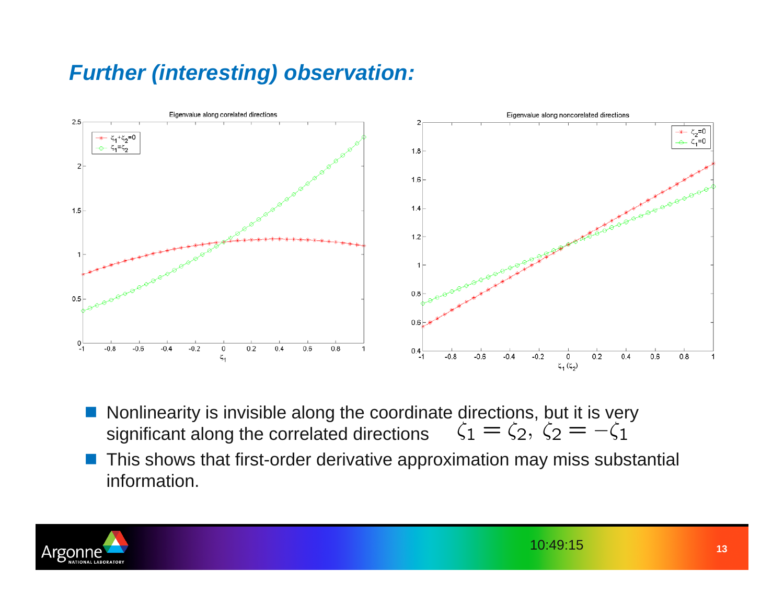# *Further (interesting) observation:*



- $\mathbb{R}^n$ Nonlinearity is invisible along the coordinate directions, but it is very significant along the correlated directions  $\zeta_1 = \zeta_2, \, \zeta_2 = -\zeta_1$ significant along the correlated directions
- $\mathbb{R}^2$  This shows that first-order derivative approximation may miss substantial information.

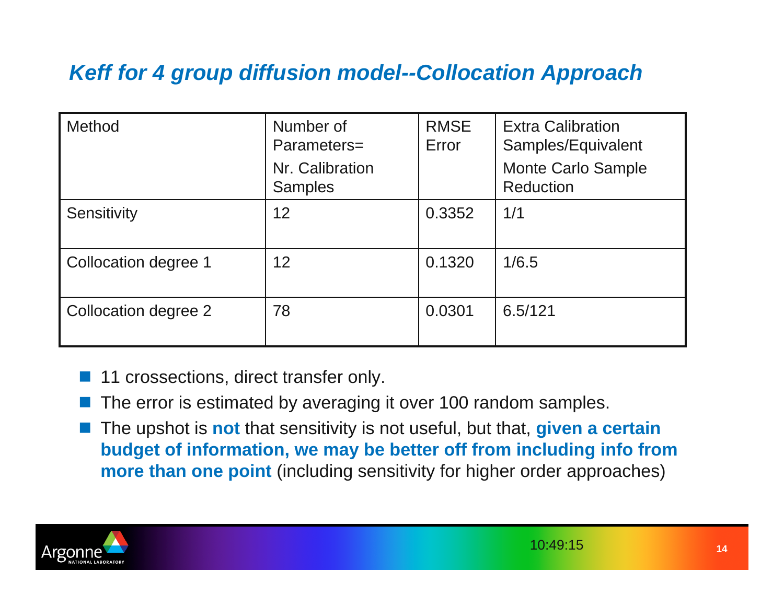# *Keff for 4 group diffusion model--Collocation Approach*

| Method               | Number of<br>Parameters=<br>Nr. Calibration<br><b>Samples</b> | <b>RMSE</b><br>Error | <b>Extra Calibration</b><br>Samples/Equivalent<br><b>Monte Carlo Sample</b><br><b>Reduction</b> |
|----------------------|---------------------------------------------------------------|----------------------|-------------------------------------------------------------------------------------------------|
| Sensitivity          | 12                                                            | 0.3352               | 1/1                                                                                             |
| Collocation degree 1 | 12                                                            | 0.1320               | 1/6.5                                                                                           |
| Collocation degree 2 | 78                                                            | 0.0301               | 6.5/121                                                                                         |

- $\overline{\mathbb{R}}$ 11 crossections, direct transfer only.
- $\overline{\mathbb{R}}$ The error is estimated by averaging it over 100 random samples.
- $\overline{\mathbb{R}}$  The upshot is **not** that sensitivity is not useful, but that, **given a certain budget of information, we may be better off from including info from more than one point** (including sensitivity for higher order approaches)

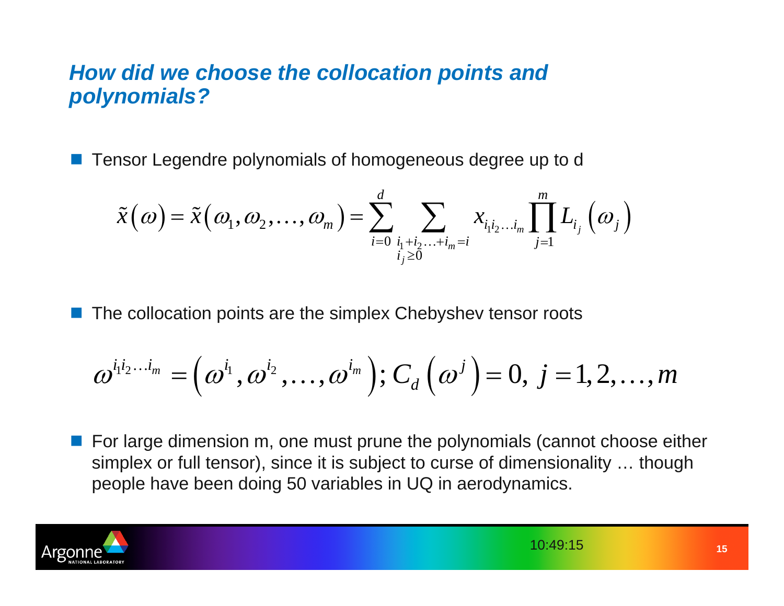#### *How did we choose the collocation points and polynomials?*

**Tensor Legendre polynomials of homogeneous degree up to d** 

$$
\tilde{x}\big(\omega\big)=\tilde{x}\big(\omega_{\!\scriptscriptstyle 1},\omega_{\!\scriptscriptstyle 2},\!\ldots,\omega_{\!\scriptscriptstyle m}\big)\!=\!\sum_{i=0}^d\sum_{\genfrac{}{}{0pt}{}{i_1+i_2\dots+i_m=i}{i_j\geq0}}x_{i_1i_2\dots i_m}\prod_{j=1}^mL_{i_j}\big(\omega_{j}\big)
$$

 $\Box$ The collocation points are the simplex Chebyshev tensor roots

$$
\boldsymbol{\omega}^{i_1i_2...i_m}=\left(\boldsymbol{\omega}^{i_1},\boldsymbol{\omega}^{i_2},\ldots,\boldsymbol{\omega}^{i_m}\right);C_{d}\left(\boldsymbol{\omega}^{j}\right)=0,\ j=1,2,\ldots,m
$$

 $\Box$  For large dimension m, one must prune the polynomials (cannot choose either simplex or full tensor), since it is subject to curse of dimensionality … though people have been doing 50 variables in UQ in aerodynamics.